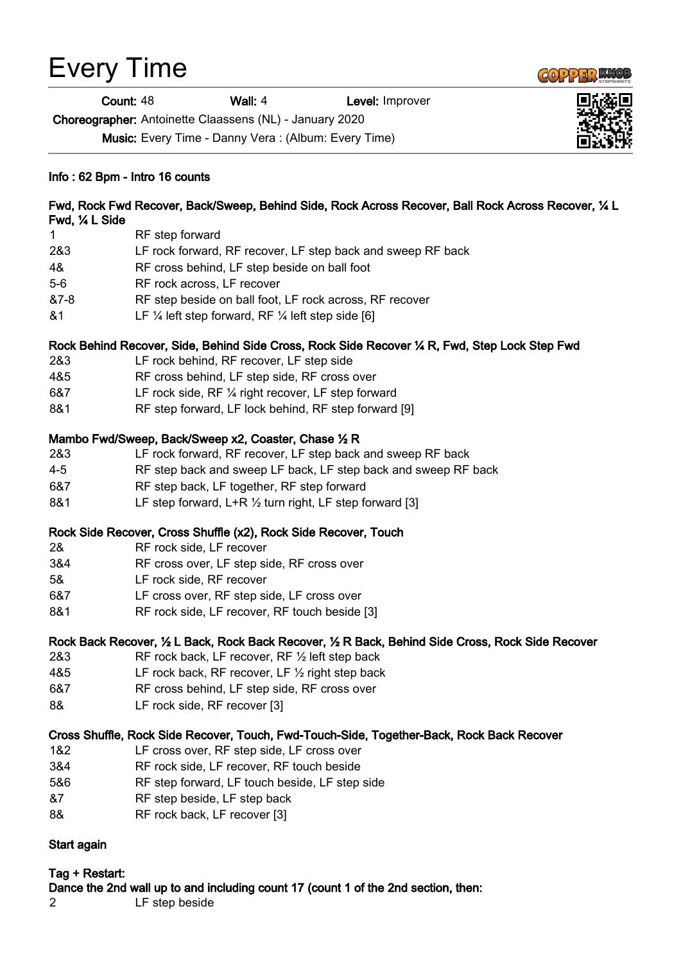# Every Time

**Count: 48 Wall: 4 Level: Improver** 

Choreographer: Antoinette Claassens (NL) - January 2020

Music: Every Time - Danny Vera : (Album: Every Time)

#### Info : 62 Bpm - Intro 16 counts

#### Fwd, Rock Fwd Recover, Back/Sweep, Behind Side, Rock Across Recover, Ball Rock Across Recover, ¼ L Fwd, ¼ L Side 1 RF step forward

- 2&3 LF rock forward, RF recover, LF step back and sweep RF back
- 4& RF cross behind, LF step beside on ball foot
- 5-6 RF rock across, LF recover
- &7-8 RF step beside on ball foot, LF rock across, RF recover
- $&1$  LF  $\frac{1}{4}$  left step forward, RF  $\frac{1}{4}$  left step side [6]

### Rock Behind Recover, Side, Behind Side Cross, Rock Side Recover ¼ R, Fwd, Step Lock Step Fwd

- 2&3 LF rock behind, RF recover, LF step side
- 4&5 RF cross behind, LF step side, RF cross over
- 6&7 LF rock side, RF ¼ right recover, LF step forward
- 8&1 RF step forward, LF lock behind, RF step forward [9]

### Mambo Fwd/Sweep, Back/Sweep x2, Coaster, Chase ½ R

- 2&3 LF rock forward, RF recover, LF step back and sweep RF back 4-5 RF step back and sweep LF back, LF step back and sweep RF back
- 6&7 RF step back, LF together, RF step forward
- 8&1 LF step forward, L+R 1/2 turn right, LF step forward [3]

### Rock Side Recover, Cross Shuffle (x2), Rock Side Recover, Touch

- 2& RF rock side, LF recover
- 3&4 RF cross over, LF step side, RF cross over
- 5& LF rock side, RF recover
- 6&7 LF cross over, RF step side, LF cross over
- 8&1 RF rock side, LF recover, RF touch beside [3]

### Rock Back Recover, ½ L Back, Rock Back Recover, ½ R Back, Behind Side Cross, Rock Side Recover

- 2&3 RF rock back, LF recover, RF ½ left step back
- 4&5 LF rock back, RF recover, LF ½ right step back
- 6&7 RF cross behind, LF step side, RF cross over
- 8& LF rock side, RF recover [3]

### Cross Shuffle, Rock Side Recover, Touch, Fwd-Touch-Side, Together-Back, Rock Back Recover

- 1&2 LF cross over, RF step side, LF cross over
- 3&4 RF rock side, LF recover, RF touch beside
- 5&6 RF step forward, LF touch beside, LF step side
- &7 RF step beside, LF step back
- 8& RF rock back, LF recover [3]

## Start again

#### Tag + Restart: Dance the 2nd wall up to and including count 17 (count 1 of the 2nd section, then: 2 LF step beside